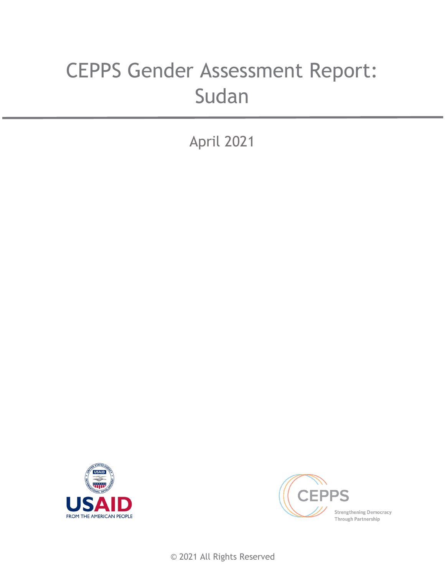# CEPPS Gender Assessment Report: Sudan

April 2021





© 2021 All Rights Reserved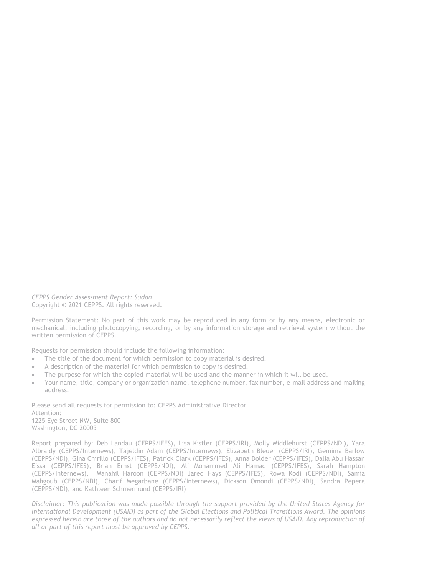*CEPPS Gender Assessment Report: Sudan* Copyright © 2021 CEPPS. All rights reserved.

Permission Statement: No part of this work may be reproduced in any form or by any means, electronic or mechanical, including photocopying, recording, or by any information storage and retrieval system without the written permission of CEPPS.

Requests for permission should include the following information:

- The title of the document for which permission to copy material is desired.
- A description of the material for which permission to copy is desired.
- The purpose for which the copied material will be used and the manner in which it will be used.
- Your name, title, company or organization name, telephone number, fax number, e-mail address and mailing address.

Please send all requests for permission to: CEPPS Administrative Director Attention: 1225 Eye Street NW, Suite 800 Washington, DC 20005

Report prepared by: Deb Landau (CEPPS/IFES), Lisa Kistler (CEPPS/IRI), Molly Middlehurst (CEPPS/NDI), Yara Albraidy (CEPPS/Internews), Tajeldin Adam (CEPPS/Internews), Elizabeth Bleuer (CEPPS/IRI), Gemima Barlow (CEPPS/NDI), Gina Chirillo (CEPPS/IFES), Patrick Clark (CEPPS/IFES), Anna Dolder (CEPPS/IFES), Dalia Abu Hassan Eissa (CEPPS/IFES), Brian Ernst (CEPPS/NDI), Ali Mohammed Ali Hamad (CEPPS/IFES), Sarah Hampton (CEPPS/Internews), Manahil Haroon (CEPPS/NDI) Jared Hays (CEPPS/IFES), Rowa Kodi (CEPPS/NDI), Samia Mahgoub (CEPPS/NDI), Charif Megarbane (CEPPS/Internews), Dickson Omondi (CEPPS/NDI), Sandra Pepera (CEPPS/NDI), and Kathleen Schmermund (CEPPS/IRI)

*Disclaimer: This publication was made possible through the support provided by the United States Agency for International Development (USAID) as part of the Global Elections and Political Transitions Award. The opinions expressed herein are those of the authors and do not necessarily reflect the views of USAID. Any reproduction of all or part of this report must be approved by CEPPS.*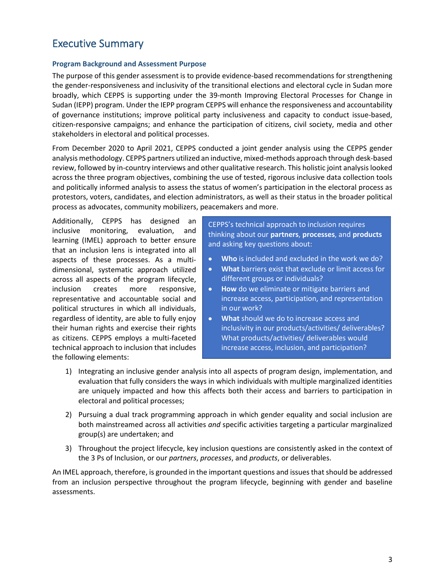# Executive Summary

#### **Program Background and Assessment Purpose**

The purpose of this gender assessment is to provide evidence-based recommendations for strengthening the gender-responsiveness and inclusivity of the transitional elections and electoral cycle in Sudan more broadly, which CEPPS is supporting under the 39-month Improving Electoral Processes for Change in Sudan (IEPP) program. Under the IEPP program CEPPS will enhance the responsiveness and accountability of governance institutions; improve political party inclusiveness and capacity to conduct issue-based, citizen-responsive campaigns; and enhance the participation of citizens, civil society, media and other stakeholders in electoral and political processes.

From December 2020 to April 2021, CEPPS conducted a joint gender analysis using the CEPPS gender analysis methodology. CEPPS partners utilized an inductive, mixed-methods approach through desk-based review, followed by in-country interviews and other qualitative research. This holistic joint analysis looked across the three program objectives, combining the use of tested, rigorous inclusive data collection tools and politically informed analysis to assess the status of women's participation in the electoral process as protestors, voters, candidates, and election administrators, as well as their status in the broader political process as advocates, community mobilizers, peacemakers and more.

Additionally, CEPPS has designed an inclusive monitoring, evaluation, and learning (IMEL) approach to better ensure that an inclusion lens is integrated into all aspects of these processes. As a multidimensional, systematic approach utilized across all aspects of the program lifecycle, inclusion creates more responsive, representative and accountable social and political structures in which all individuals, regardless of identity, are able to fully enjoy their human rights and exercise their rights as citizens. CEPPS employs a multi-faceted technical approach to inclusion that includes the following elements:

CEPPS's technical approach to inclusion requires thinking about our **partners**, **processes**, and **products** and asking key questions about:

- **Who** is included and excluded in the work we do?
- **What** barriers exist that exclude or limit access for different groups or individuals?
- **How** do we eliminate or mitigate barriers and increase access, participation, and representation in our work?
- **What** should we do to increase access and inclusivity in our products/activities/ deliverables? What products/activities/ deliverables would increase access, inclusion, and participation?
- 1) Integrating an inclusive gender analysis into all aspects of program design, implementation, and evaluation that fully considers the ways in which individuals with multiple marginalized identities are uniquely impacted and how this affects both their access and barriers to participation in electoral and political processes;
- 2) Pursuing a dual track programming approach in which gender equality and social inclusion are both mainstreamed across all activities *and* specific activities targeting a particular marginalized group(s) are undertaken; and
- 3) Throughout the project lifecycle, key inclusion questions are consistently asked in the context of the 3 Ps of Inclusion, or our *partners*, *processes*, and *products*, or deliverables.

An IMEL approach, therefore, is grounded in the important questions and issuesthat should be addressed from an inclusion perspective throughout the program lifecycle, beginning with gender and baseline assessments.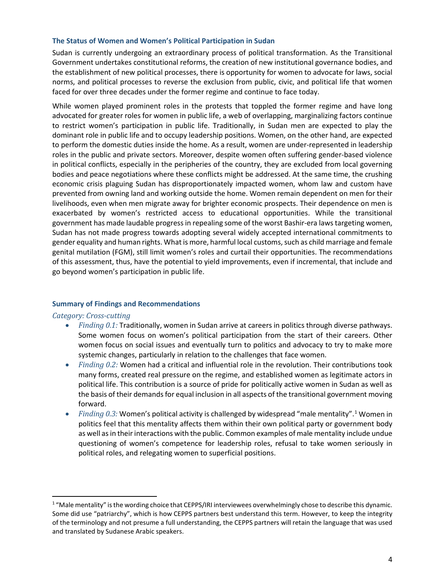#### **The Status of Women and Women's Political Participation in Sudan**

Sudan is currently undergoing an extraordinary process of political transformation. As the Transitional Government undertakes constitutional reforms, the creation of new institutional governance bodies, and the establishment of new political processes, there is opportunity for women to advocate for laws, social norms, and political processes to reverse the exclusion from public, civic, and political life that women faced for over three decades under the former regime and continue to face today.

While women played prominent roles in the protests that toppled the former regime and have long advocated for greater roles for women in public life, a web of overlapping, marginalizing factors continue to restrict women's participation in public life. Traditionally, in Sudan men are expected to play the dominant role in public life and to occupy leadership positions. Women, on the other hand, are expected to perform the domestic duties inside the home. As a result, women are under-represented in leadership roles in the public and private sectors. Moreover, despite women often suffering gender-based violence in political conflicts, especially in the peripheries of the country, they are excluded from local governing bodies and peace negotiations where these conflicts might be addressed. At the same time, the crushing economic crisis plaguing Sudan has disproportionately impacted women, whom law and custom have prevented from owning land and working outside the home. Women remain dependent on men for their livelihoods, even when men migrate away for brighter economic prospects. Their dependence on men is exacerbated by women's restricted access to educational opportunities. While the transitional government has made laudable progress in repealing some of the worst Bashir-era laws targeting women, Sudan has not made progress towards adopting several widely accepted international commitments to gender equality and human rights. What is more, harmful local customs, such as child marriage and female genital mutilation (FGM), still limit women's roles and curtail their opportunities. The recommendations of this assessment, thus, have the potential to yield improvements, even if incremental, that include and go beyond women's participation in public life.

#### **Summary of Findings and Recommendations**

#### *Category: Cross-cutting*

- *Finding 0.1:* Traditionally, women in Sudan arrive at careers in politics through diverse pathways. Some women focus on women's political participation from the start of their careers. Other women focus on social issues and eventually turn to politics and advocacy to try to make more systemic changes, particularly in relation to the challenges that face women.
- *Finding 0.2:* Women had a critical and influential role in the revolution. Their contributions took many forms, created real pressure on the regime, and established women as legitimate actors in political life. This contribution is a source of pride for politically active women in Sudan as well as the basis of their demands for equal inclusion in all aspects of the transitional government moving forward.
- *Finding 0.3:* Women's political activity is challenged by widespread "male mentality".[1](#page-3-0) Women in politics feel that this mentality affects them within their own political party or government body as well as in their interactions with the public. Common examples of male mentality include undue questioning of women's competence for leadership roles, refusal to take women seriously in political roles, and relegating women to superficial positions.

<span id="page-3-0"></span><sup>&</sup>lt;sup>1</sup> "Male mentality" is the wording choice that CEPPS/IRI interviewees overwhelmingly chose to describe this dynamic. Some did use "patriarchy", which is how CEPPS partners best understand this term. However, to keep the integrity of the terminology and not presume a full understanding, the CEPPS partners will retain the language that was used and translated by Sudanese Arabic speakers.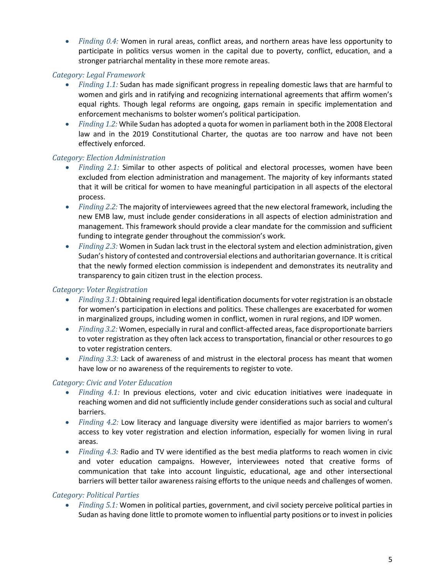• *Finding 0.4:* Women in rural areas, conflict areas, and northern areas have less opportunity to participate in politics versus women in the capital due to poverty, conflict, education, and a stronger patriarchal mentality in these more remote areas.

### *Category: Legal Framework*

- *Finding 1.1:* Sudan has made significant progress in repealing domestic laws that are harmful to women and girls and in ratifying and recognizing international agreements that affirm women's equal rights. Though legal reforms are ongoing, gaps remain in specific implementation and enforcement mechanisms to bolster women's political participation.
- *Finding 1.2:* While Sudan has adopted a quota for women in parliament both in the 2008 Electoral law and in the 2019 Constitutional Charter, the quotas are too narrow and have not been effectively enforced.

# *Category: Election Administration*

- *Finding 2.1:* Similar to other aspects of political and electoral processes, women have been excluded from election administration and management. The majority of key informants stated that it will be critical for women to have meaningful participation in all aspects of the electoral process.
- *Finding 2.2:* The majority of interviewees agreed that the new electoral framework, including the new EMB law, must include gender considerations in all aspects of election administration and management. This framework should provide a clear mandate for the commission and sufficient funding to integrate gender throughout the commission's work.
- *Finding 2.3:* Women in Sudan lack trust in the electoral system and election administration, given Sudan's history of contested and controversial elections and authoritarian governance. It is critical that the newly formed election commission is independent and demonstrates its neutrality and transparency to gain citizen trust in the election process.

### *Category: Voter Registration*

- *Finding 3.1:* Obtaining required legal identification documents for voter registration is an obstacle for women's participation in elections and politics. These challenges are exacerbated for women in marginalized groups, including women in conflict, women in rural regions, and IDP women.
- *Finding 3.2:* Women, especially in rural and conflict-affected areas, face disproportionate barriers to voter registration as they often lack access to transportation, financial or other resources to go to voter registration centers.
- *Finding 3.3:* Lack of awareness of and mistrust in the electoral process has meant that women have low or no awareness of the requirements to register to vote.

#### *Category: Civic and Voter Education*

- *Finding 4.1:* In previous elections, voter and civic education initiatives were inadequate in reaching women and did not sufficiently include gender considerations such as social and cultural barriers.
- *Finding 4.2:* Low literacy and language diversity were identified as major barriers to women's access to key voter registration and election information, especially for women living in rural areas.
- *Finding 4.3:* Radio and TV were identified as the best media platforms to reach women in civic and voter education campaigns. However, interviewees noted that creative forms of communication that take into account linguistic, educational, age and other intersectional barriers will better tailor awareness raising efforts to the unique needs and challenges of women.

#### *Category: Political Parties*

• *Finding 5.1:* Women in political parties, government, and civil society perceive political parties in Sudan as having done little to promote women to influential party positions or to invest in policies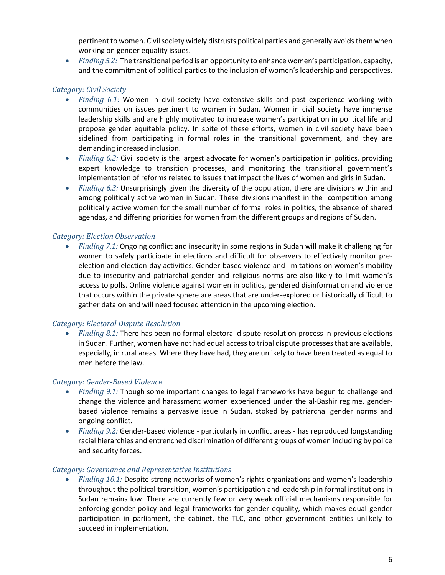pertinent to women. Civil society widely distrusts political parties and generally avoids them when working on gender equality issues.

• *Finding 5.2:* The transitional period is an opportunity to enhance women's participation, capacity, and the commitment of political parties to the inclusion of women's leadership and perspectives.

# *Category: Civil Society*

- *Finding 6.1:* Women in civil society have extensive skills and past experience working with communities on issues pertinent to women in Sudan. Women in civil society have immense leadership skills and are highly motivated to increase women's participation in political life and propose gender equitable policy. In spite of these efforts, women in civil society have been sidelined from participating in formal roles in the transitional government, and they are demanding increased inclusion.
- *Finding 6.2:* Civil society is the largest advocate for women's participation in politics, providing expert knowledge to transition processes, and monitoring the transitional government's implementation of reforms related to issues that impact the lives of women and girls in Sudan.
- *Finding 6.3:* Unsurprisingly given the diversity of the population, there are divisions within and among politically active women in Sudan. These divisions manifest in the competition among politically active women for the small number of formal roles in politics, the absence of shared agendas, and differing priorities for women from the different groups and regions of Sudan.

#### *Category: Election Observation*

• *Finding 7.1:* Ongoing conflict and insecurity in some regions in Sudan will make it challenging for women to safely participate in elections and difficult for observers to effectively monitor preelection and election-day activities. Gender-based violence and limitations on women's mobility due to insecurity and patriarchal gender and religious norms are also likely to limit women's access to polls. Online violence against women in politics, gendered disinformation and violence that occurs within the private sphere are areas that are under-explored or historically difficult to gather data on and will need focused attention in the upcoming election.

#### *Category: Electoral Dispute Resolution*

• *Finding 8.1:* There has been no formal electoral dispute resolution process in previous elections in Sudan. Further, women have not had equal access to tribal dispute processes that are available, especially, in rural areas. Where they have had, they are unlikely to have been treated as equal to men before the law.

#### *Category: Gender-Based Violence*

- *Finding 9.1:* Though some important changes to legal frameworks have begun to challenge and change the violence and harassment women experienced under the al-Bashir regime, genderbased violence remains a pervasive issue in Sudan, stoked by patriarchal gender norms and ongoing conflict.
- *Finding 9.2:* Gender-based violence particularly in conflict areas has reproduced longstanding racial hierarchies and entrenched discrimination of different groups of women including by police and security forces.

#### *Category: Governance and Representative Institutions*

• *Finding 10.1:* Despite strong networks of women's rights organizations and women's leadership throughout the political transition, women's participation and leadership in formal institutions in Sudan remains low. There are currently few or very weak official mechanisms responsible for enforcing gender policy and legal frameworks for gender equality, which makes equal gender participation in parliament, the cabinet, the TLC, and other government entities unlikely to succeed in implementation.